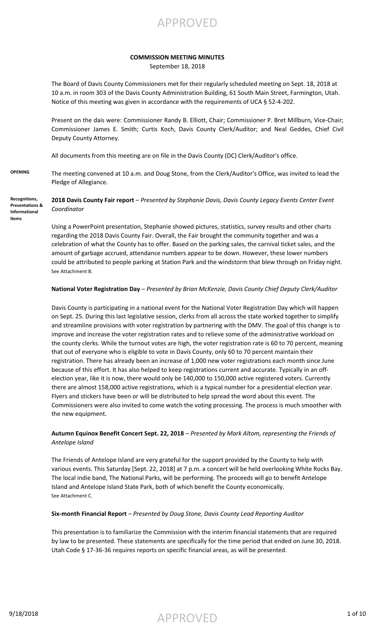APPROVED

#### **COMMISSION MEETING MINUTES**

September 18, 2018

The Board of Davis County Commissioners met for their regularly scheduled meeting on Sept. 18, 2018 at 10 a.m. in room 303 of the Davis County Administration Building, 61 South Main Street, Farmington, Utah. Notice of this meeting was given in accordance with the requirements of UCA § 52-4-202.

Present on the dais were: Commissioner Randy B. Elliott, Chair; Commissioner P. Bret Millburn, Vice-Chair; Commissioner James E. Smith; Curtis Koch, Davis County Clerk/Auditor; and Neal Geddes, Chief Civil Deputy County Attorney.

All documents from this meeting are on file in the Davis County (DC) Clerk/Auditor's office.

**OPENING** The meeting convened at 10 a.m. and Doug Stone, from the Clerk/Auditor's Office, was invited to lead the Pledge of Allegiance.

**2018 Davis County Fair report** – *Presented by Stephanie Davis, Davis County Legacy Events Center Event Coordinator* **Recognitions, Presentations & Informational** 

> Using a PowerPoint presentation, Stephanie showed pictures, statistics, survey results and other charts regarding the 2018 Davis County Fair. Overall, the Fair brought the community together and was a celebration of what the County has to offer. Based on the parking sales, the carnival ticket sales, and the amount of garbage accrued, attendance numbers appear to be down. However, these lower numbers could be attributed to people parking at Station Park and the windstorm that blew through on Friday night. See Attachment B.

#### **National Voter Registration Day** – *Presented by Brian McKenzie, Davis County Chief Deputy Clerk/Auditor*

Davis County is participating in a national event for the National Voter Registration Day which will happen on Sept. 25. During this last legislative session, clerks from all across the state worked together to simplify and streamline provisions with voter registration by partnering with the DMV. The goal of this change is to improve and increase the voter registration rates and to relieve some of the administrative workload on the county clerks. While the turnout votes are high, the voter registration rate is 60 to 70 percent, meaning that out of everyone who is eligible to vote in Davis County, only 60 to 70 percent maintain their registration. There has already been an increase of 1,000 new voter registrations each month since June because of this effort. It has also helped to keep registrations current and accurate. Typically in an offelection year, like it is now, there would only be 140,000 to 150,000 active registered voters. Currently there are almost 158,000 active registrations, which is a typical number for a presidential election year. Flyers and stickers have been or will be distributed to help spread the word about this event. The Commissioners were also invited to come watch the voting processing. The process is much smoother with the new equipment.

#### **Autumn Equinox Benefit Concert Sept. 22, 2018** – *Presented by Mark Altom, representing the Friends of Antelope Island*

The Friends of Antelope Island are very grateful for the support provided by the County to help with various events. This Saturday [Sept. 22, 2018] at 7 p.m. a concert will be held overlooking White Rocks Bay. The local indie band, The National Parks, will be performing. The proceeds will go to benefit Antelope Island and Antelope Island State Park, both of which benefit the County economically. See Attachment C.

#### **Six-month Financial Report** – *Presented by Doug Stone, Davis County Lead Reporting Auditor*

This presentation is to familiarize the Commission with the interim financial statements that are required by law to be presented. These statements are specifically for the time period that ended on June 30, 2018. Utah Code § 17-36-36 requires reports on specific financial areas, as will be presented.

**Items**

 $\mathsf{APPROVED}$  1 of 10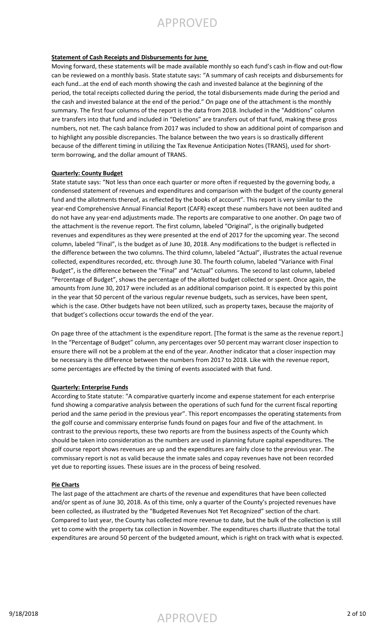#### **Statement of Cash Receipts and Disbursements for June**

Moving forward, these statements will be made available monthly so each fund's cash in-flow and out-flow can be reviewed on a monthly basis. State statute says: "A summary of cash receipts and disbursements for each fund…at the end of each month showing the cash and invested balance at the beginning of the period, the total receipts collected during the period, the total disbursements made during the period and the cash and invested balance at the end of the period." On page one of the attachment is the monthly summary. The first four columns of the report is the data from 2018. Included in the "Additions" column are transfers into that fund and included in "Deletions" are transfers out of that fund, making these gross numbers, not net. The cash balance from 2017 was included to show an additional point of comparison and to highlight any possible discrepancies. The balance between the two years is so drastically different because of the different timing in utilizing the Tax Revenue Anticipation Notes (TRANS), used for shortterm borrowing, and the dollar amount of TRANS.

#### **Quarterly: County Budget**

State statute says: "Not less than once each quarter or more often if requested by the governing body, a condensed statement of revenues and expenditures and comparison with the budget of the county general fund and the allotments thereof, as reflected by the books of account". This report is very similar to the year-end Comprehensive Annual Financial Report (CAFR) except these numbers have not been audited and do not have any year-end adjustments made. The reports are comparative to one another. On page two of the attachment is the revenue report. The first column, labeled "Original", is the originally budgeted revenues and expenditures as they were presented at the end of 2017 for the upcoming year. The second column, labeled "Final", is the budget as of June 30, 2018. Any modifications to the budget is reflected in the difference between the two columns. The third column, labeled "Actual", illustrates the actual revenue collected, expenditures recorded, etc. through June 30. The fourth column, labeled "Variance with Final Budget", is the difference between the "Final" and "Actual" columns. The second to last column, labeled "Percentage of Budget", shows the percentage of the allotted budget collected or spent. Once again, the amounts from June 30, 2017 were included as an additional comparison point. It is expected by this point in the year that 50 percent of the various regular revenue budgets, such as services, have been spent, which is the case. Other budgets have not been utilized, such as property taxes, because the majority of that budget's collections occur towards the end of the year.

On page three of the attachment is the expenditure report. [The format is the same as the revenue report.] In the "Percentage of Budget" column, any percentages over 50 percent may warrant closer inspection to ensure there will not be a problem at the end of the year. Another indicator that a closer inspection may be necessary is the difference between the numbers from 2017 to 2018. Like with the revenue report, some percentages are effected by the timing of events associated with that fund.

#### **Quarterly: Enterprise Funds**

According to State statute: "A comparative quarterly income and expense statement for each enterprise fund showing a comparative analysis between the operations of such fund for the current fiscal reporting period and the same period in the previous year". This report encompasses the operating statements from the golf course and commissary enterprise funds found on pages four and five of the attachment. In contrast to the previous reports, these two reports are from the business aspects of the County which should be taken into consideration as the numbers are used in planning future capital expenditures. The golf course report shows revenues are up and the expenditures are fairly close to the previous year. The commissary report is not as valid because the inmate sales and copay revenues have not been recorded yet due to reporting issues. These issues are in the process of being resolved.

#### **Pie Charts**

The last page of the attachment are charts of the revenue and expenditures that have been collected and/or spent as of June 30, 2018. As of this time, only a quarter of the County's projected revenues have been collected, as illustrated by the "Budgeted Revenues Not Yet Recognized" section of the chart. Compared to last year, the County has collected more revenue to date, but the bulk of the collection is still yet to come with the property tax collection in November. The expenditures charts illustrate that the total expenditures are around 50 percent of the budgeted amount, which is right on track with what is expected.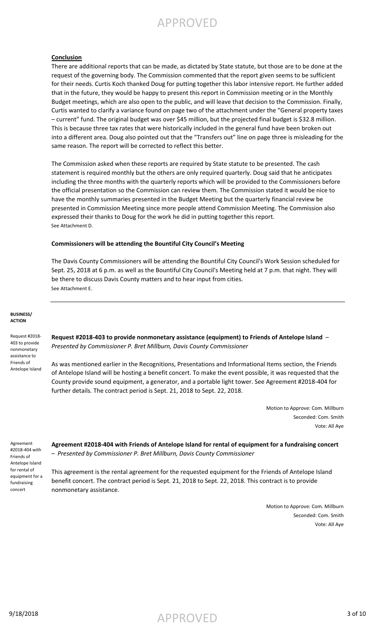#### **Conclusion**

There are additional reports that can be made, as dictated by State statute, but those are to be done at the request of the governing body. The Commission commented that the report given seems to be sufficient for their needs. Curtis Koch thanked Doug for putting together this labor intensive report. He further added that in the future, they would be happy to present this report in Commission meeting or in the Monthly Budget meetings, which are also open to the public, and will leave that decision to the Commission. Finally, Curtis wanted to clarify a variance found on page two of the attachment under the "General property taxes – current" fund. The original budget was over \$45 million, but the projected final budget is \$32.8 million. This is because three tax rates that were historically included in the general fund have been broken out into a different area. Doug also pointed out that the "Transfers out" line on page three is misleading for the same reason. The report will be corrected to reflect this better.

The Commission asked when these reports are required by State statute to be presented. The cash statement is required monthly but the others are only required quarterly. Doug said that he anticipates including the three months with the quarterly reports which will be provided to the Commissioners before the official presentation so the Commission can review them. The Commission stated it would be nice to have the monthly summaries presented in the Budget Meeting but the quarterly financial review be presented in Commission Meeting since more people attend Commission Meeting. The Commission also expressed their thanks to Doug for the work he did in putting together this report. See Attachment D.

#### **Commissioners will be attending the Bountiful City Council's Meeting**

The Davis County Commissioners will be attending the Bountiful City Council's Work Session scheduled for Sept. 25, 2018 at 6 p.m. as well as the Bountiful City Council's Meeting held at 7 p.m. that night. They will be there to discuss Davis County matters and to hear input from cities. See Attachment E.

#### **BUSINESS/ ACTION**

Request #2018- 403 to provide nonmonetary assistance to Friends of Antelope Island

**Request #2018-403 to provide nonmonetary assistance (equipment) to Friends of Antelope Island** – *Presented by Commissioner P. Bret Millburn, Davis County Commissioner*

As was mentioned earlier in the Recognitions, Presentations and Informational Items section, the Friends of Antelope Island will be hosting a benefit concert. To make the event possible, it was requested that the County provide sound equipment, a generator, and a portable light tower. See Agreement #2018-404 for further details. The contract period is Sept. 21, 2018 to Sept. 22, 2018.

> Motion to Approve: Com. Millburn Seconded: Com. Smith Vote: All Aye

Agreement #2018-404 with Friends of Antelope Island for rental of equipment for a fundraising concert

**Agreement #2018-404 with Friends of Antelope Island for rental of equipment for a fundraising concert**  – *Presented by Commissioner P. Bret Millburn, Davis County Commissioner*

This agreement is the rental agreement for the requested equipment for the Friends of Antelope Island benefit concert. The contract period is Sept. 21, 2018 to Sept. 22, 2018. This contract is to provide nonmonetary assistance.

> Motion to Approve: Com. Millburn Seconded: Com. Smith Vote: All Aye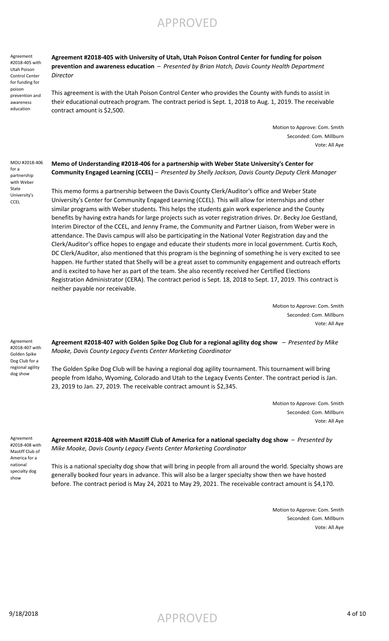Agreement #2018-405 with Utah Poison Control Center for funding for poison prevention and awareness education

**Agreement #2018-405 with University of Utah, Utah Poison Control Center for funding for poison prevention and awareness education** – *Presented by Brian Hatch, Davis County Health Department Director*

This agreement is with the Utah Poison Control Center who provides the County with funds to assist in their educational outreach program. The contract period is Sept. 1, 2018 to Aug. 1, 2019. The receivable contract amount is \$2,500.

> Motion to Approve: Com. Smith Seconded: Com. Millburn Vote: All Aye

MOU #2018-406 for a partnership with Weber State University's **CCEL** 

**Memo of Understanding #2018-406 for a partnership with Weber State University's Center for Community Engaged Learning (CCEL)** – *Presented by Shelly Jackson, Davis County Deputy Clerk Manager*

This memo forms a partnership between the Davis County Clerk/Auditor's office and Weber State University's Center for Community Engaged Learning (CCEL). This will allow for internships and other similar programs with Weber students. This helps the students gain work experience and the County benefits by having extra hands for large projects such as voter registration drives. Dr. Becky Joe Gestland, Interim Director of the CCEL, and Jenny Frame, the Community and Partner Liaison, from Weber were in attendance. The Davis campus will also be participating in the National Voter Registration day and the Clerk/Auditor's office hopes to engage and educate their students more in local government. Curtis Koch, DC Clerk/Auditor, also mentioned that this program is the beginning of something he is very excited to see happen. He further stated that Shelly will be a great asset to community engagement and outreach efforts and is excited to have her as part of the team. She also recently received her Certified Elections Registration Administrator (CERA). The contract period is Sept. 18, 2018 to Sept. 17, 2019. This contract is neither payable nor receivable.

> Motion to Approve: Com. Smith Seconded: Com. Millburn Vote: All Aye

Agreement #2018-407 with Golden Spike Dog Club for a regional agility dog show

**Agreement #2018-407 with Golden Spike Dog Club for a regional agility dog show** – *Presented by Mike Moake, Davis County Legacy Events Center Marketing Coordinator*

The Golden Spike Dog Club will be having a regional dog agility tournament. This tournament will bring people from Idaho, Wyoming, Colorado and Utah to the Legacy Events Center. The contract period is Jan. 23, 2019 to Jan. 27, 2019. The receivable contract amount is \$2,345.

> Motion to Approve: Com. Smith Seconded: Com. Millburn Vote: All Aye

Agreement #2018-408 with Mastiff Club of America for a national specialty dog show

**Agreement #2018-408 with Mastiff Club of America for a national specialty dog show** – *Presented by Mike Moake, Davis County Legacy Events Center Marketing Coordinator*

This is a national specialty dog show that will bring in people from all around the world. Specialty shows are generally booked four years in advance. This will also be a larger specialty show then we have hosted before. The contract period is May 24, 2021 to May 29, 2021. The receivable contract amount is \$4,170.

> Motion to Approve: Com. Smith Seconded: Com. Millburn Vote: All Aye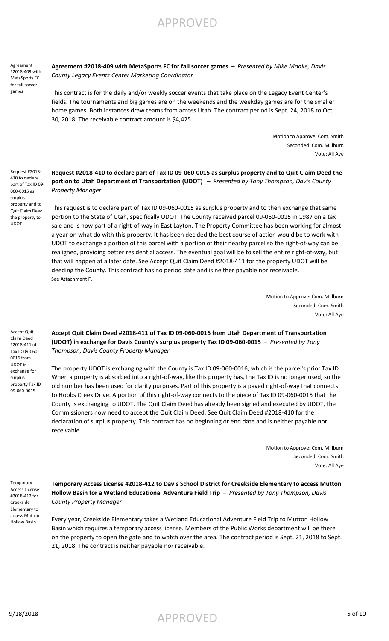Agreement #2018-409 with MetaSports FC for fall soccer games

**Agreement #2018-409 with MetaSports FC for fall soccer games** – *Presented by Mike Moake, Davis County Legacy Events Center Marketing Coordinator*

This contract is for the daily and/or weekly soccer events that take place on the Legacy Event Center's fields. The tournaments and big games are on the weekends and the weekday games are for the smaller home games. Both instances draw teams from across Utah. The contract period is Sept. 24, 2018 to Oct. 30, 2018. The receivable contract amount is \$4,425.

> Motion to Approve: Com. Smith Seconded: Com. Millburn Vote: All Aye

Request #2018- 410 to declare part of Tax ID 09- 060-0015 as surplus property and to Quit Claim Deed the property to UDOT

**Request #2018-410 to declare part of Tax ID 09-060-0015 as surplus property and to Quit Claim Deed the portion to Utah Department of Transportation (UDOT)** – *Presented by Tony Thompson, Davis County Property Manager*

This request is to declare part of Tax ID 09-060-0015 as surplus property and to then exchange that same portion to the State of Utah, specifically UDOT. The County received parcel 09-060-0015 in 1987 on a tax sale and is now part of a right-of-way in East Layton. The Property Committee has been working for almost a year on what do with this property. It has been decided the best course of action would be to work with UDOT to exchange a portion of this parcel with a portion of their nearby parcel so the right-of-way can be realigned, providing better residential access. The eventual goal will be to sell the entire right-of-way, but that will happen at a later date. See Accept Quit Claim Deed #2018-411 for the property UDOT will be deeding the County. This contract has no period date and is neither payable nor receivable. See Attachment F.

> Motion to Approve: Com. Millburn Seconded: Com. Smith Vote: All Aye

**Accept Quit Claim Deed #2018-411 of Tax ID 09-060-0016 from Utah Department of Transportation (UDOT) in exchange for Davis County's surplus property Tax ID 09-060-0015** – *Presented by Tony Thompson, Davis County Property Manager*

The property UDOT is exchanging with the County is Tax ID 09-060-0016, which is the parcel's prior Tax ID. When a property is absorbed into a right-of-way, like this property has, the Tax ID is no longer used, so the old number has been used for clarity purposes. Part of this property is a paved right-of-way that connects to Hobbs Creek Drive. A portion of this right-of-way connects to the piece of Tax ID 09-060-0015 that the County is exchanging to UDOT. The Quit Claim Deed has already been signed and executed by UDOT, the Commissioners now need to accept the Quit Claim Deed. See Quit Claim Deed #2018-410 for the declaration of surplus property. This contract has no beginning or end date and is neither payable nor receivable.

> Motion to Approve: Com. Millburn Seconded: Com. Smith Vote: All Aye

**Temporary** Access License #2018-412 for Creekside Elementary to access Mutton Hollow Basin

**Temporary Access License #2018-412 to Davis School District for Creekside Elementary to access Mutton Hollow Basin for a Wetland Educational Adventure Field Trip** – *Presented by Tony Thompson, Davis County Property Manager*

Every year, Creekside Elementary takes a Wetland Educational Adventure Field Trip to Mutton Hollow Basin which requires a temporary access license. Members of the Public Works department will be there on the property to open the gate and to watch over the area. The contract period is Sept. 21, 2018 to Sept. 21, 2018. The contract is neither payable nor receivable.

Claim Deed #2018-411 of Tax ID 09-060- 0016 from UDOT in exchange for surplus property Tax ID

Accept Quit

09-060-0015

 $\mathsf{APPROVED}$  5 of 10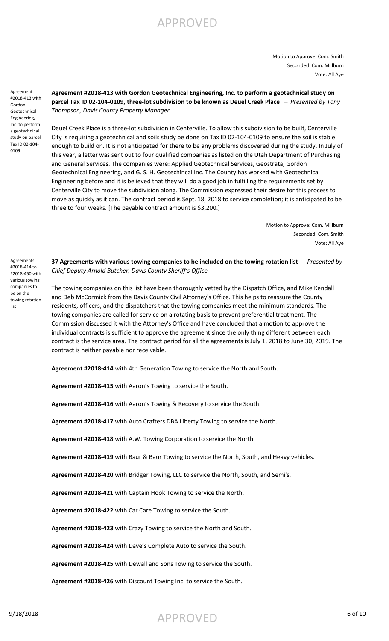Motion to Approve: Com. Smith Seconded: Com. Millburn Vote: All Aye

Agreement #2018-413 with Gordon Geotechnical Engineering, Inc. to perform a geotechnical study on parcel Tax ID 02-104- 0109

### **Agreement #2018-413 with Gordon Geotechnical Engineering, Inc. to perform a geotechnical study on parcel Tax ID 02-104-0109, three-lot subdivision to be known as Deuel Creek Place** – *Presented by Tony Thompson, Davis County Property Manager*

Deuel Creek Place is a three-lot subdivision in Centerville. To allow this subdivision to be built, Centerville City is requiring a geotechnical and soils study be done on Tax ID 02-104-0109 to ensure the soil is stable enough to build on. It is not anticipated for there to be any problems discovered during the study. In July of this year, a letter was sent out to four qualified companies as listed on the Utah Department of Purchasing and General Services. The companies were: Applied Geotechnical Services, Geostrata, Gordon Geotechnical Engineering, and G. S. H. Geotechincal Inc. The County has worked with Geotechnical Engineering before and it is believed that they will do a good job in fulfilling the requirements set by Centerville City to move the subdivision along. The Commission expressed their desire for this process to move as quickly as it can. The contract period is Sept. 18, 2018 to service completion; it is anticipated to be three to four weeks. [The payable contract amount is \$3,200.]

> Motion to Approve: Com. Millburn Seconded: Com. Smith Vote: All Aye

**37 Agreements with various towing companies to be included on the towing rotation list** – *Presented by Chief Deputy Arnold Butcher, Davis County Sheriff's Office*

The towing companies on this list have been thoroughly vetted by the Dispatch Office, and Mike Kendall and Deb McCormick from the Davis County Civil Attorney's Office. This helps to reassure the County residents, officers, and the dispatchers that the towing companies meet the minimum standards. The towing companies are called for service on a rotating basis to prevent preferential treatment. The Commission discussed it with the Attorney's Office and have concluded that a motion to approve the individual contracts is sufficient to approve the agreement since the only thing different between each contract is the service area. The contract period for all the agreements is July 1, 2018 to June 30, 2019. The contract is neither payable nor receivable.

**Agreement #2018-414** with 4th Generation Towing to service the North and South.

**Agreement #2018-415** with Aaron's Towing to service the South.

**Agreement #2018-416** with Aaron's Towing & Recovery to service the South.

**Agreement #2018-417** with Auto Crafters DBA Liberty Towing to service the North.

**Agreement #2018-418** with A.W. Towing Corporation to service the North.

**Agreement #2018-419** with Baur & Baur Towing to service the North, South, and Heavy vehicles.

**Agreement #2018-420** with Bridger Towing, LLC to service the North, South, and Semi's.

**Agreement #2018-421** with Captain Hook Towing to service the North.

**Agreement #2018-422** with Car Care Towing to service the South.

**Agreement #2018-423** with Crazy Towing to service the North and South.

**Agreement #2018-424** with Dave's Complete Auto to service the South.

**Agreement #2018-425** with Dewall and Sons Towing to service the South.

**Agreement #2018-426** with Discount Towing Inc. to service the South.

#2018-414 to #2018-450 with various towing companies to be on the towing rotation list

Agreements

 $\mathsf{APPROVED}$  6 of 10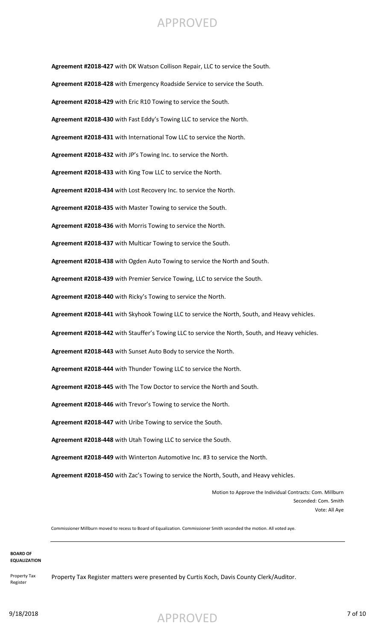**Agreement #2018-427** with DK Watson Collison Repair, LLC to service the South. **Agreement #2018-428** with Emergency Roadside Service to service the South. **Agreement #2018-429** with Eric R10 Towing to service the South. **Agreement #2018-430** with Fast Eddy's Towing LLC to service the North. **Agreement #2018-431** with International Tow LLC to service the North. **Agreement #2018-432** with JP's Towing Inc. to service the North. **Agreement #2018-433** with King Tow LLC to service the North. **Agreement #2018-434** with Lost Recovery Inc. to service the North. **Agreement #2018-435** with Master Towing to service the South. **Agreement #2018-436** with Morris Towing to service the North. **Agreement #2018-437** with Multicar Towing to service the South. **Agreement #2018-438** with Ogden Auto Towing to service the North and South. **Agreement #2018-439** with Premier Service Towing, LLC to service the South. **Agreement #2018-440** with Ricky's Towing to service the North. **Agreement #2018-441** with Skyhook Towing LLC to service the North, South, and Heavy vehicles. **Agreement #2018-442** with Stauffer's Towing LLC to service the North, South, and Heavy vehicles. **Agreement #2018-443** with Sunset Auto Body to service the North. **Agreement #2018-444** with Thunder Towing LLC to service the North. **Agreement #2018-445** with The Tow Doctor to service the North and South. **Agreement #2018-446** with Trevor's Towing to service the North. **Agreement #2018-447** with Uribe Towing to service the South. **Agreement #2018-448** with Utah Towing LLC to service the South. **Agreement #2018-449** with Winterton Automotive Inc. #3 to service the North. **Agreement #2018-450** with Zac's Towing to service the North, South, and Heavy vehicles.

> Motion to Approve the Individual Contracts: Com. Millburn Seconded: Com. Smith Vote: All Aye

Commissioner Millburn moved to recess to Board of Equalization. Commissioner Smith seconded the motion. All voted aye.

#### **BOARD OF EQUALIZATION**

Property Tax Register

Property Tax Register matters were presented by Curtis Koch, Davis County Clerk/Auditor.

9/18/2018 7 of 10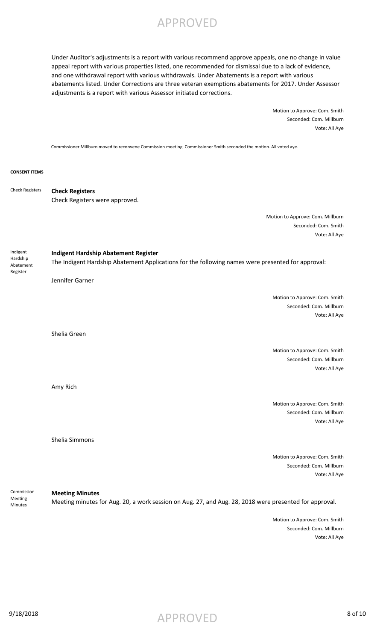Under Auditor's adjustments is a report with various recommend approve appeals, one no change in value appeal report with various properties listed, one recommended for dismissal due to a lack of evidence, and one withdrawal report with various withdrawals. Under Abatements is a report with various abatements listed. Under Corrections are three veteran exemptions abatements for 2017. Under Assessor adjustments is a report with various Assessor initiated corrections.

> Motion to Approve: Com. Smith Seconded: Com. Millburn Vote: All Aye

Commissioner Millburn moved to reconvene Commission meeting. Commissioner Smith seconded the motion. All voted aye.

| <b>CONSENT ITEMS</b>                          |                                                                                                                                                                     |
|-----------------------------------------------|---------------------------------------------------------------------------------------------------------------------------------------------------------------------|
| <b>Check Registers</b>                        | <b>Check Registers</b><br>Check Registers were approved.                                                                                                            |
|                                               | Motion to Approve: Com. Millburn<br>Seconded: Com. Smith<br>Vote: All Aye                                                                                           |
| Indigent<br>Hardship<br>Abatement<br>Register | <b>Indigent Hardship Abatement Register</b><br>The Indigent Hardship Abatement Applications for the following names were presented for approval:<br>Jennifer Garner |
|                                               | Motion to Approve: Com. Smith<br>Seconded: Com. Millburn<br>Vote: All Aye                                                                                           |
|                                               | Shelia Green<br>Motion to Approve: Com. Smith<br>Seconded: Com. Millburn<br>Vote: All Aye                                                                           |
|                                               | Amy Rich                                                                                                                                                            |
|                                               | Motion to Approve: Com. Smith<br>Seconded: Com. Millburn<br>Vote: All Aye                                                                                           |
|                                               | Shelia Simmons                                                                                                                                                      |
|                                               | Motion to Approve: Com. Smith<br>Seconded: Com. Millburn<br>Vote: All Aye                                                                                           |
| Commission<br>Meeting<br>Minutes              | <b>Meeting Minutes</b><br>Meeting minutes for Aug. 20, a work session on Aug. 27, and Aug. 28, 2018 were presented for approval.                                    |
|                                               | Motion to Approve: Com. Smith<br>Seconded: Com. Millburn                                                                                                            |

Vote: All Aye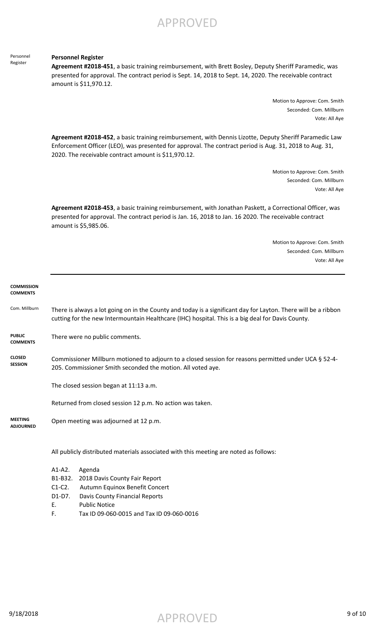Personnel Register

#### **Personnel Register**

**Agreement #2018-451**, a basic training reimbursement, with Brett Bosley, Deputy Sheriff Paramedic, was presented for approval. The contract period is Sept. 14, 2018 to Sept. 14, 2020. The receivable contract amount is \$11,970.12.

> Motion to Approve: Com. Smith Seconded: Com. Millburn Vote: All Aye

**Agreement #2018-452**, a basic training reimbursement, with Dennis Lizotte, Deputy Sheriff Paramedic Law Enforcement Officer (LEO), was presented for approval. The contract period is Aug. 31, 2018 to Aug. 31, 2020. The receivable contract amount is \$11,970.12.

> Motion to Approve: Com. Smith Seconded: Com. Millburn Vote: All Aye

**Agreement #2018-453**, a basic training reimbursement, with Jonathan Paskett, a Correctional Officer, was presented for approval. The contract period is Jan. 16, 2018 to Jan. 16 2020. The receivable contract amount is \$5,985.06.

> Motion to Approve: Com. Smith Seconded: Com. Millburn Vote: All Aye

| <b>COMMISSION</b><br><b>COMMENTS</b> |                                                                                                                                                                                                                     |
|--------------------------------------|---------------------------------------------------------------------------------------------------------------------------------------------------------------------------------------------------------------------|
| Com. Millburn                        | There is always a lot going on in the County and today is a significant day for Layton. There will be a ribbon<br>cutting for the new Intermountain Healthcare (IHC) hospital. This is a big deal for Davis County. |
| <b>PUBLIC</b><br><b>COMMENTS</b>     | There were no public comments.                                                                                                                                                                                      |
| <b>CLOSED</b><br><b>SESSION</b>      | Commissioner Millburn motioned to adjourn to a closed session for reasons permitted under UCA § 52-4-<br>205. Commissioner Smith seconded the motion. All voted aye.                                                |
|                                      | The closed session began at 11:13 a.m.                                                                                                                                                                              |
|                                      | Returned from closed session 12 p.m. No action was taken.                                                                                                                                                           |
| <b>MEETING</b><br><b>ADJOURNED</b>   | Open meeting was adjourned at 12 p.m.                                                                                                                                                                               |
|                                      | All publicly distributed materials associated with this meeting are noted as follows:                                                                                                                               |
|                                      | $A1 - A2$ .<br>Agenda<br>B1-B32.<br>2018 Davis County Fair Report<br>$C1-C2$ .<br>Autumn Equinox Benefit Concert<br>D1-D7.<br>Davis County Financial Reports<br><b>Public Notice</b><br>Ε.                          |

F. Tax ID 09-060-0015 and Tax ID 09-060-0016